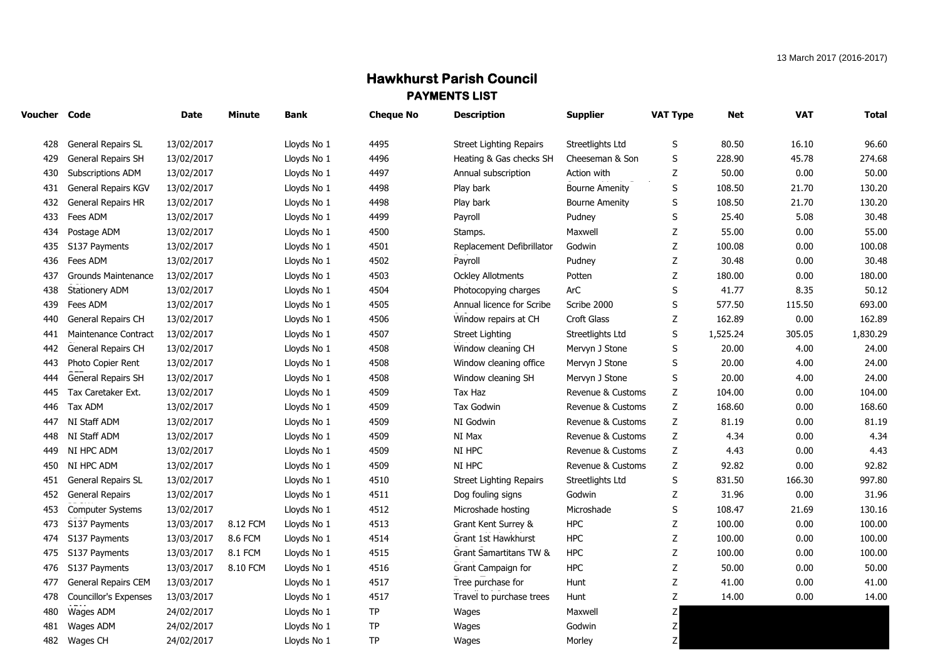## **Hawkhurst Parish Council PAYMENTS LIST**

| Voucher Code |                            | Date       | Minute   | Bank        | <b>Cheque No</b> | <b>Description</b>             | <b>Supplier</b>       | <b>VAT Type</b> | Net      | <b>VAT</b> | <b>Total</b> |
|--------------|----------------------------|------------|----------|-------------|------------------|--------------------------------|-----------------------|-----------------|----------|------------|--------------|
| 428          | <b>General Repairs SL</b>  | 13/02/2017 |          | Lloyds No 1 | 4495             | Street Lighting Repairs        | Streetlights Ltd      | S               | 80.50    | 16.10      | 96.60        |
| 429          | General Repairs SH         | 13/02/2017 |          | Lloyds No 1 | 4496             | Heating & Gas checks SH        | Cheeseman & Son       | S               | 228.90   | 45.78      | 274.68       |
| 430          | Subscriptions ADM          | 13/02/2017 |          | Lloyds No 1 | 4497             | Annual subscription            | Action with           | Z               | 50.00    | 0.00       | 50.00        |
| 431          | General Repairs KGV        | 13/02/2017 |          | Lloyds No 1 | 4498             | Play bark                      | <b>Bourne Amenity</b> | S               | 108.50   | 21.70      | 130.20       |
| 432          | General Repairs HR         | 13/02/2017 |          | Lloyds No 1 | 4498             | Play bark                      | <b>Bourne Amenity</b> | $\sf S$         | 108.50   | 21.70      | 130.20       |
| 433          | Fees ADM                   | 13/02/2017 |          | Lloyds No 1 | 4499             | Payroll                        | Pudney                | S               | 25.40    | 5.08       | 30.48        |
| 434          | Postage ADM                | 13/02/2017 |          | Lloyds No 1 | 4500             | Stamps.                        | Maxwell               | Z               | 55.00    | 0.00       | 55.00        |
| 435          | S137 Payments              | 13/02/2017 |          | Lloyds No 1 | 4501             | Replacement Defibrillator      | Godwin                | $\mathsf Z$     | 100.08   | 0.00       | 100.08       |
| 436          | Fees ADM                   | 13/02/2017 |          | Lloyds No 1 | 4502             | Payroll                        | Pudney                | Z               | 30.48    | 0.00       | 30.48        |
| 437          | <b>Grounds Maintenance</b> | 13/02/2017 |          | Lloyds No 1 | 4503             | <b>Ockley Allotments</b>       | Potten                | Z               | 180.00   | 0.00       | 180.00       |
| 438          | <b>Stationery ADM</b>      | 13/02/2017 |          | Lloyds No 1 | 4504             | Photocopying charges           | ArC                   | S               | 41.77    | 8.35       | 50.12        |
| 439          | Fees ADM                   | 13/02/2017 |          | Lloyds No 1 | 4505             | Annual licence for Scribe      | Scribe 2000           | $\sf S$         | 577.50   | 115.50     | 693.00       |
| 440          | General Repairs CH         | 13/02/2017 |          | Lloyds No 1 | 4506             | Window repairs at CH           | Croft Glass           | Z               | 162.89   | 0.00       | 162.89       |
| 441          | Maintenance Contract       | 13/02/2017 |          | Lloyds No 1 | 4507             | <b>Street Lighting</b>         | Streetlights Ltd      | $\sf S$         | 1,525.24 | 305.05     | 1,830.29     |
| 442          | General Repairs CH         | 13/02/2017 |          | Lloyds No 1 | 4508             | Window cleaning CH             | Mervyn J Stone        | $\sf S$         | 20.00    | 4.00       | 24.00        |
| 443          | Photo Copier Rent          | 13/02/2017 |          | Lloyds No 1 | 4508             | Window cleaning office         | Mervyn J Stone        | S               | 20.00    | 4.00       | 24.00        |
| 444          | General Repairs SH         | 13/02/2017 |          | Lloyds No 1 | 4508             | Window cleaning SH             | Mervyn J Stone        | $\sf S$         | 20.00    | 4.00       | 24.00        |
| 445          | Tax Caretaker Ext.         | 13/02/2017 |          | Lloyds No 1 | 4509             | Tax Haz                        | Revenue & Customs     | Z               | 104.00   | 0.00       | 104.00       |
| 446          | Tax ADM                    | 13/02/2017 |          | Lloyds No 1 | 4509             | <b>Tax Godwin</b>              | Revenue & Customs     | Z               | 168.60   | 0.00       | 168.60       |
| 447          | NI Staff ADM               | 13/02/2017 |          | Lloyds No 1 | 4509             | NI Godwin                      | Revenue & Customs     | Z               | 81.19    | 0.00       | 81.19        |
| 448          | NI Staff ADM               | 13/02/2017 |          | Lloyds No 1 | 4509             | NI Max                         | Revenue & Customs     | Z               | 4.34     | 0.00       | 4.34         |
| 449          | NI HPC ADM                 | 13/02/2017 |          | Lloyds No 1 | 4509             | NI HPC                         | Revenue & Customs     | Z               | 4.43     | 0.00       | 4.43         |
| 450          | NI HPC ADM                 | 13/02/2017 |          | Lloyds No 1 | 4509             | NI HPC                         | Revenue & Customs     | Z               | 92.82    | 0.00       | 92.82        |
| 451          | General Repairs SL         | 13/02/2017 |          | Lloyds No 1 | 4510             | <b>Street Lighting Repairs</b> | Streetlights Ltd      | $\sf S$         | 831.50   | 166.30     | 997.80       |
| 452          | <b>General Repairs</b>     | 13/02/2017 |          | Lloyds No 1 | 4511             | Dog fouling signs              | Godwin                | Z               | 31.96    | 0.00       | 31.96        |
| 453          | <b>Computer Systems</b>    | 13/02/2017 |          | Lloyds No 1 | 4512             | Microshade hosting             | Microshade            | S               | 108.47   | 21.69      | 130.16       |
| 473          | S137 Payments              | 13/03/2017 | 8.12 FCM | Lloyds No 1 | 4513             | Grant Kent Surrey &            | <b>HPC</b>            | Z               | 100.00   | 0.00       | 100.00       |
| 474          | S137 Payments              | 13/03/2017 | 8.6 FCM  | Lloyds No 1 | 4514             | Grant 1st Hawkhurst            | <b>HPC</b>            | $\mathsf Z$     | 100.00   | 0.00       | 100.00       |
| 475          | S137 Payments              | 13/03/2017 | 8.1 FCM  | Lloyds No 1 | 4515             | Grant Samartitans TW &         | <b>HPC</b>            | $\mathsf Z$     | 100.00   | 0.00       | 100.00       |
| 476          | S137 Payments              | 13/03/2017 | 8.10 FCM | Lloyds No 1 | 4516             | Grant Campaign for             | <b>HPC</b>            | Z               | 50.00    | 0.00       | 50.00        |
| 477          | <b>General Repairs CEM</b> | 13/03/2017 |          | Lloyds No 1 | 4517             | Tree purchase for              | Hunt                  | $\mathsf Z$     | 41.00    | 0.00       | 41.00        |
| 478          | Councillor's Expenses      | 13/03/2017 |          | Lloyds No 1 | 4517             | Travel to purchase trees       | Hunt                  | Z               | 14.00    | 0.00       | 14.00        |
| 480          | Wages ADM                  | 24/02/2017 |          | Lloyds No 1 | TP               | Wages                          | Maxwell               | Z               |          |            |              |
| 481          | Wages ADM                  | 24/02/2017 |          | Lloyds No 1 | TP               | Wages                          | Godwin                | Z               |          |            |              |
| 482          | Wages CH                   | 24/02/2017 |          | Lloyds No 1 | <b>TP</b>        | Wages                          | Morley                | Z               |          |            |              |